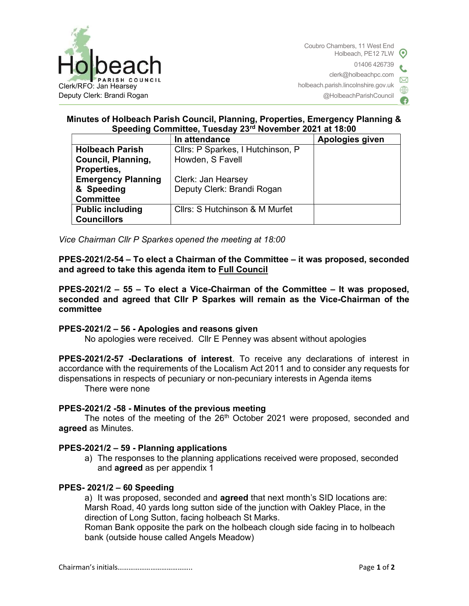

# Minutes of Holbeach Parish Council, Planning, Properties, Emergency Planning & Speeding Committee, Tuesday 23rd November 2021 at 18:00

|                           | In attendance                     | Apologies given |
|---------------------------|-----------------------------------|-----------------|
| <b>Holbeach Parish</b>    | Cllrs: P Sparkes, I Hutchinson, P |                 |
| <b>Council, Planning,</b> | Howden, S Favell                  |                 |
| Properties,               |                                   |                 |
| <b>Emergency Planning</b> | Clerk: Jan Hearsey                |                 |
| & Speeding                | Deputy Clerk: Brandi Rogan        |                 |
| <b>Committee</b>          |                                   |                 |
| <b>Public including</b>   | Cllrs: S Hutchinson & M Murfet    |                 |
| <b>Councillors</b>        |                                   |                 |

Vice Chairman Cllr P Sparkes opened the meeting at 18:00

PPES-2021/2-54 – To elect a Chairman of the Committee – it was proposed, seconded and agreed to take this agenda item to Full Council

PPES-2021/2 – 55 – To elect a Vice-Chairman of the Committee – It was proposed, seconded and agreed that Cllr P Sparkes will remain as the Vice-Chairman of the committee

## PPES-2021/2 – 56 - Apologies and reasons given

No apologies were received. Cllr E Penney was absent without apologies

PPES-2021/2-57 -Declarations of interest. To receive any declarations of interest in accordance with the requirements of the Localism Act 2011 and to consider any requests for dispensations in respects of pecuniary or non-pecuniary interests in Agenda items

There were none

#### PPES-2021/2 -58 - Minutes of the previous meeting

The notes of the meeting of the 26<sup>th</sup> October 2021 were proposed, seconded and agreed as Minutes.

#### PPES-2021/2 – 59 - Planning applications

a) The responses to the planning applications received were proposed, seconded and agreed as per appendix 1

#### PPES- 2021/2 – 60 Speeding

a) It was proposed, seconded and **agreed** that next month's SID locations are: Marsh Road, 40 yards long sutton side of the junction with Oakley Place, in the direction of Long Sutton, facing holbeach St Marks.

Roman Bank opposite the park on the holbeach clough side facing in to holbeach bank (outside house called Angels Meadow)

Chairman's initials………………………………….. Page 1 of 2